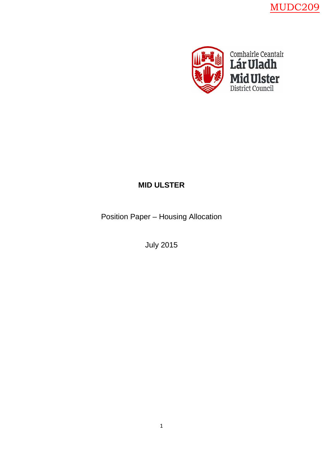MUDC209



## **MID ULSTER**

Position Paper – Housing Allocation

July 2015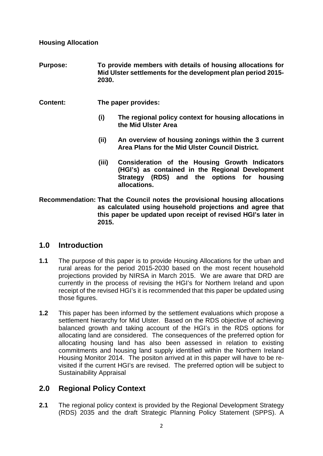**Housing Allocation**

- **Purpose: To provide members with details of housing allocations for Mid Ulster settlements for the development plan period 2015- 2030.**
- **Content: The paper provides:**
	- **(i) The regional policy context for housing allocations in the Mid Ulster Area**
	- **(ii) An overview of housing zonings within the 3 current Area Plans for the Mid Ulster Council District.**
	- **(iii) Consideration of the Housing Growth Indicators (HGI's) as contained in the Regional Development Strategy (RDS) and the options for housing allocations.**
- **Recommendation: That the Council notes the provisional housing allocations as calculated using household projections and agree that this paper be updated upon receipt of revised HGI's later in 2015.**

### **1.0 Introduction**

- **1.1** The purpose of this paper is to provide Housing Allocations for the urban and rural areas for the period 2015-2030 based on the most recent household projections provided by NIRSA in March 2015. We are aware that DRD are currently in the process of revising the HGI's for Northern Ireland and upon receipt of the revised HGI's it is recommended that this paper be updated using those figures.
- **1.2** This paper has been informed by the settlement evaluations which propose a settlement hierarchy for Mid Ulster. Based on the RDS objective of achieving balanced growth and taking account of the HGI's in the RDS options for allocating land are considered. The consequences of the preferred option for allocating housing land has also been assessed in relation to existing commitments and housing land supply identified within the Northern Ireland Housing Monitor 2014. The positon arrived at in this paper will have to be revisited if the current HGI's are revised. The preferred option will be subject to Sustainability Appraisal

### **2.0 Regional Policy Context**

**2.1** The regional policy context is provided by the Regional Development Strategy (RDS) 2035 and the draft Strategic Planning Policy Statement (SPPS). A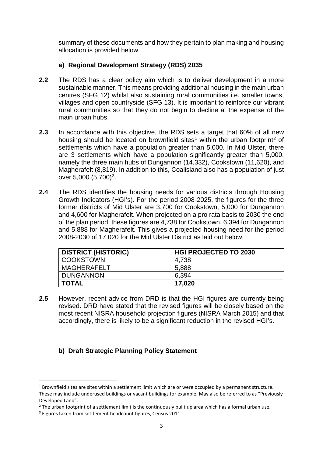summary of these documents and how they pertain to plan making and housing allocation is provided below.

#### **a) Regional Development Strategy (RDS) 2035**

- **2.2** The RDS has a clear policy aim which is to deliver development in a more sustainable manner. This means providing additional housing in the main urban centres (SFG 12) whilst also sustaining rural communities i.e. smaller towns, villages and open countryside (SFG 13). It is important to reinforce our vibrant rural communities so that they do not begin to decline at the expense of the main urban hubs.
- **2.3** In accordance with this objective, the RDS sets a target that 60% of all new housing should be located on brownfield sites<sup>[1](#page-2-0)</sup> within the urban footprint<sup>[2](#page-2-1)</sup> of settlements which have a population greater than 5,000. In Mid Ulster, there are 3 settlements which have a population significantly greater than 5,000, namely the three main hubs of Dungannon (14,332), Cookstown (11,620), and Magherafelt (8,819). In addition to this, Coalisland also has a population of just over 5,000  $(5,700)^3$  $(5,700)^3$ .
- **2.4** The RDS identifies the housing needs for various districts through Housing Growth Indicators (HGI's). For the period 2008-2025, the figures for the three former districts of Mid Ulster are 3,700 for Cookstown, 5,000 for Dungannon and 4,600 for Magherafelt. When projected on a pro rata basis to 2030 the end of the plan period, these figures are 4,738 for Cookstown, 6,394 for Dungannon and 5,888 for Magherafelt. This gives a projected housing need for the period 2008-2030 of 17,020 for the Mid Ulster District as laid out below.

| <b>DISTRICT (HISTORIC)</b> | <b>HGI PROJECTED TO 2030</b> |
|----------------------------|------------------------------|
| COOKSTOWN                  | 4,738                        |
| MAGHERAFELT                | 5,888                        |
| DUNGANNON                  | 6.394                        |
| I TOTAL                    | 17,020                       |

**2.5** However, recent advice from DRD is that the HGI figures are currently being revised. DRD have stated that the revised figures will be closely based on the most recent NISRA household projection figures (NISRA March 2015) and that accordingly, there is likely to be a significant reduction in the revised HGI's.

### **b) Draft Strategic Planning Policy Statement**

**.** 

<span id="page-2-0"></span><sup>&</sup>lt;sup>1</sup> Brownfield sites are sites within a settlement limit which are or were occupied by a permanent structure. These may include underused buildings or vacant buildings for example. May also be referred to as "Previously Developed Land".

<span id="page-2-1"></span> $<sup>2</sup>$  The urban footprint of a settlement limit is the continuously built up area which has a formal urban use.</sup>

<span id="page-2-2"></span><sup>&</sup>lt;sup>3</sup> Figures taken from settlement headcount figures, Census 2011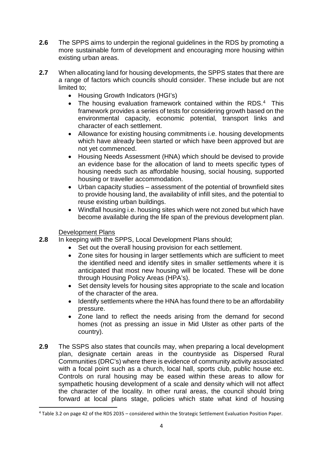- **2.6** The SPPS aims to underpin the regional guidelines in the RDS by promoting a more sustainable form of development and encouraging more housing within existing urban areas.
- **2.7** When allocating land for housing developments, the SPPS states that there are a range of factors which councils should consider. These include but are not limited to;
	- Housing Growth Indicators (HGI's)
	- The housing evaluation framework contained within the RDS.<sup>4</sup> This framework provides a series of tests for considering growth based on the environmental capacity, economic potential, transport links and character of each settlement.
	- Allowance for existing housing commitments i.e. housing developments which have already been started or which have been approved but are not yet commenced.
	- Housing Needs Assessment (HNA) which should be devised to provide an evidence base for the allocation of land to meets specific types of housing needs such as affordable housing, social housing, supported housing or traveller accommodation.
	- Urban capacity studies assessment of the potential of brownfield sites to provide housing land, the availability of infill sites, and the potential to reuse existing urban buildings.
	- Windfall housing i.e. housing sites which were not zoned but which have become available during the life span of the previous development plan.

Development Plans

 $\overline{a}$ 

- **2.8** In keeping with the SPPS, Local Development Plans should;
	- Set out the overall housing provision for each settlement.
	- Zone sites for housing in larger settlements which are sufficient to meet the identified need and identify sites in smaller settlements where it is anticipated that most new housing will be located. These will be done through Housing Policy Areas (HPA's).
	- Set density levels for housing sites appropriate to the scale and location of the character of the area.
	- Identify settlements where the HNA has found there to be an affordability pressure.
	- Zone land to reflect the needs arising from the demand for second homes (not as pressing an issue in Mid Ulster as other parts of the country).
- **2.9** The SSPS also states that councils may, when preparing a local development plan, designate certain areas in the countryside as Dispersed Rural Communities (DRC's) where there is evidence of community activity associated with a focal point such as a church, local hall, sports club, public house etc. Controls on rural housing may be eased within these areas to allow for sympathetic housing development of a scale and density which will not affect the character of the locality. In other rural areas, the council should bring forward at local plans stage, policies which state what kind of housing

<span id="page-3-0"></span><sup>4</sup> Table 3.2 on page 42 of the RDS 2035 – considered within the Strategic Settlement Evaluation Position Paper.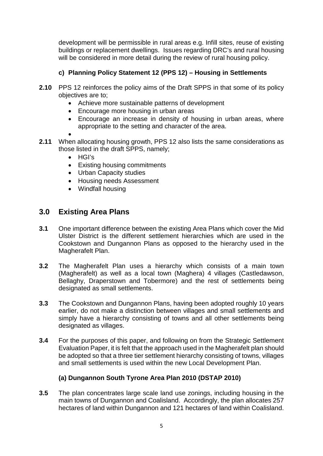development will be permissible in rural areas e.g. Infill sites, reuse of existing buildings or replacement dwellings. Issues regarding DRC's and rural housing will be considered in more detail during the review of rural housing policy.

#### **c) Planning Policy Statement 12 (PPS 12) – Housing in Settlements**

- **2.10** PPS 12 reinforces the policy aims of the Draft SPPS in that some of its policy objectives are to;
	- Achieve more sustainable patterns of development
	- Encourage more housing in urban areas
	- Encourage an increase in density of housing in urban areas, where appropriate to the setting and character of the area.
	- •
- **2.11** When allocating housing growth, PPS 12 also lists the same considerations as those listed in the draft SPPS, namely;
	- HGI's
	- Existing housing commitments
	- Urban Capacity studies
	- Housing needs Assessment
	- Windfall housing

### **3.0 Existing Area Plans**

- **3.1** One important difference between the existing Area Plans which cover the Mid Ulster District is the different settlement hierarchies which are used in the Cookstown and Dungannon Plans as opposed to the hierarchy used in the Magherafelt Plan.
- **3.2** The Magherafelt Plan uses a hierarchy which consists of a main town (Magherafelt) as well as a local town (Maghera) 4 villages (Castledawson, Bellaghy, Draperstown and Tobermore) and the rest of settlements being designated as small settlements.
- **3.3** The Cookstown and Dungannon Plans, having been adopted roughly 10 years earlier, do not make a distinction between villages and small settlements and simply have a hierarchy consisting of towns and all other settlements being designated as villages.
- **3.4** For the purposes of this paper, and following on from the Strategic Settlement Evaluation Paper, it is felt that the approach used in the Magherafelt plan should be adopted so that a three tier settlement hierarchy consisting of towns, villages and small settlements is used within the new Local Development Plan.

#### **(a) Dungannon South Tyrone Area Plan 2010 (DSTAP 2010)**

**3.5** The plan concentrates large scale land use zonings, including housing in the main towns of Dungannon and Coalisland. Accordingly, the plan allocates 257 hectares of land within Dungannon and 121 hectares of land within Coalisland.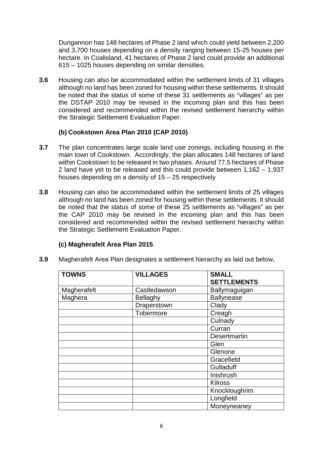Dungannon has 148 hectares of Phase 2 land which could yield between 2,200 and 3,700 houses depending on a density ranging between 15-25 houses per hectare. In Coalisland, 41 hectares of Phase 2 land could provide an additional 615 – 1025 houses depending on similar densities.

**3.6** Housing can also be accommodated within the settlement limits of 31 villages although no land has been zoned for housing within these settlements. It should be noted that the status of some of these 31 settlements as "villages" as per the DSTAP 2010 may be revised in the incoming plan and this has been considered and recommended within the revised settlement hierarchy within the Strategic Settlement Evaluation Paper.

#### **(b) Cookstown Area Plan 2010 (CAP 2010)**

- **3.7** The plan concentrates large scale land use zonings, including housing in the main town of Cookstown. Accordingly, the plan allocates 148 hectares of land within Cookstown to be released in two phases. Around 77.5 hectares of Phase 2 land have yet to be released and this could provide between 1,162 – 1,937 houses depending on a density of 15 – 25 respectively
- **3.8** Housing can also be accommodated within the settlement limits of 25 villages although no land has been zoned for housing within these settlements. It should be noted that the status of some of these 25 settlements as "villages" as per the CAP 2010 may be revised in the incoming plan and this has been considered and recommended within the revised settlement hierarchy within the Strategic Settlement Evaluation Paper.

### **(c) Magherafelt Area Plan 2015**

| <b>TOWNS</b> | <b>VILLAGES</b> | <b>SMALL</b><br><b>SETTLEMENTS</b> |
|--------------|-----------------|------------------------------------|
| Magherafelt  | Castledawson    | Ballymaguigan                      |
| Maghera      | Bellaghy        | <b>Ballynease</b>                  |
|              | Draperstown     | Clady                              |
|              | Tobermore       | Creagh                             |
|              |                 | Culnady                            |
|              |                 | Curran                             |
|              |                 | Desertmartin                       |
|              |                 | Glen                               |
|              |                 | Glenone                            |
|              |                 | Gracefield                         |
|              |                 | Gulladuff                          |
|              |                 | Inishrush                          |
|              |                 | <b>Kilross</b>                     |
|              |                 | Knockloughrim                      |
|              |                 | Longfield                          |
|              |                 | Moneyneaney                        |

**3.9** Magherafelt Area Plan designates a settlement hierarchy as laid out below**.**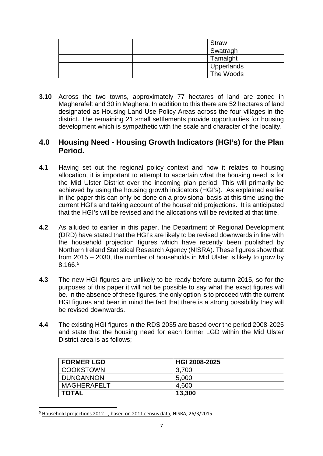| Straw      |
|------------|
| Swatragh   |
| Tamalght   |
| Upperlands |
| The Woods  |

**3.10** Across the two towns, approximately 77 hectares of land are zoned in Magherafelt and 30 in Maghera. In addition to this there are 52 hectares of land designated as Housing Land Use Policy Areas across the four villages in the district. The remaining 21 small settlements provide opportunities for housing development which is sympathetic with the scale and character of the locality.

### **4.0 Housing Need - Housing Growth Indicators (HGI's) for the Plan Period.**

- **4.1** Having set out the regional policy context and how it relates to housing allocation, it is important to attempt to ascertain what the housing need is for the Mid Ulster District over the incoming plan period. This will primarily be achieved by using the housing growth indicators (HGI's). As explained earlier in the paper this can only be done on a provisional basis at this time using the current HGI's and taking account of the household projections. It is anticipated that the HGI's will be revised and the allocations will be revisited at that time.
- **4.2** As alluded to earlier in this paper, the Department of Regional Development (DRD) have stated that the HGI's are likely to be revised downwards in line with the household projection figures which have recently been published by Northern Ireland Statistical Research Agency (NISRA). These figures show that from 2015 – 2030, the number of households in Mid Ulster is likely to grow by 8,166.[5](#page-6-0)
- **4.3** The new HGI figures are unlikely to be ready before autumn 2015, so for the purposes of this paper it will not be possible to say what the exact figures will be. In the absence of these figures, the only option is to proceed with the current HGI figures and bear in mind the fact that there is a strong possibility they will be revised downwards.
- **4.4** The existing HGI figures in the RDS 2035 are based over the period 2008-2025 and state that the housing need for each former LGD within the Mid Ulster District area is as follows;

| <b>FORMER LGD</b>  | HGI 2008-2025 |
|--------------------|---------------|
| <b>COOKSTOWN</b>   | 3,700         |
| <b>DUNGANNON</b>   | 5,000         |
| <b>MAGHERAFELT</b> | 4,600         |
| <b>TOTAL</b>       | 13,300        |

<span id="page-6-0"></span><sup>&</sup>lt;sup>5</sup> Household projections 2012 - , based on 2011 census data, NISRA, 26/3/2015

 $\overline{a}$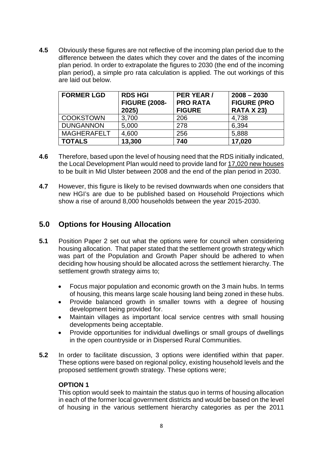**4.5** Obviously these figures are not reflective of the incoming plan period due to the difference between the dates which they cover and the dates of the incoming plan period. In order to extrapolate the figures to 2030 (the end of the incoming plan period), a simple pro rata calculation is applied. The out workings of this are laid out below.

| <b>FORMER LGD</b>  | <b>RDS HGI</b><br><b>FIGURE (2008-</b><br>2025) | PER YEAR /<br><b>PRO RATA</b><br><b>FIGURE</b> | $2008 - 2030$<br><b>FIGURE (PRO</b><br><b>RATA X 23)</b> |
|--------------------|-------------------------------------------------|------------------------------------------------|----------------------------------------------------------|
| <b>COOKSTOWN</b>   | 3,700                                           | 206                                            | 4,738                                                    |
| <b>DUNGANNON</b>   | 5,000                                           | 278                                            | 6,394                                                    |
| <b>MAGHERAFELT</b> | 4,600                                           | 256                                            | 5,888                                                    |
| <b>TOTALS</b>      | 13,300                                          | 740                                            | 17,020                                                   |

- **4.6** Therefore, based upon the level of housing need that the RDS initially indicated, the Local Development Plan would need to provide land for 17,020 new houses to be built in Mid Ulster between 2008 and the end of the plan period in 2030.
- **4.7** However, this figure is likely to be revised downwards when one considers that new HGI's are due to be published based on Household Projections which show a rise of around 8,000 households between the year 2015-2030.

### **5.0 Options for Housing Allocation**

- **5.1** Position Paper 2 set out what the options were for council when considering housing allocation. That paper stated that the settlement growth strategy which was part of the Population and Growth Paper should be adhered to when deciding how housing should be allocated across the settlement hierarchy. The settlement growth strategy aims to;
	- Focus major population and economic growth on the 3 main hubs. In terms of housing, this means large scale housing land being zoned in these hubs.
	- Provide balanced growth in smaller towns with a degree of housing development being provided for.
	- Maintain villages as important local service centres with small housing developments being acceptable.
	- Provide opportunities for individual dwellings or small groups of dwellings in the open countryside or in Dispersed Rural Communities.
- **5.2** In order to facilitate discussion, 3 options were identified within that paper. These options were based on regional policy, existing household levels and the proposed settlement growth strategy. These options were;

#### **OPTION 1**

This option would seek to maintain the status quo in terms of housing allocation in each of the former local government districts and would be based on the level of housing in the various settlement hierarchy categories as per the 2011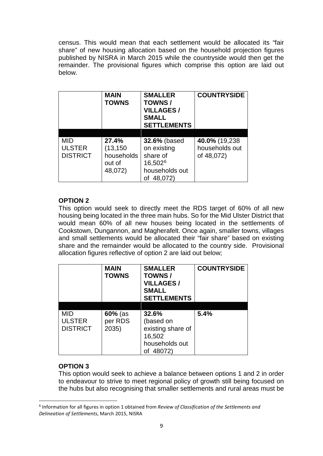census. This would mean that each settlement would be allocated its "fair share" of new housing allocation based on the household projection figures published by NISRA in March 2015 while the countryside would then get the remainder. The provisional figures which comprise this option are laid out below.

|                 | <b>MAIN</b><br><b>TOWNS</b> | <b>SMALLER</b><br>TOWNS/<br><b>VILLAGES/</b><br><b>SMALL</b><br><b>SETTLEMENTS</b> | <b>COUNTRYSIDE</b> |
|-----------------|-----------------------------|------------------------------------------------------------------------------------|--------------------|
|                 |                             |                                                                                    |                    |
| MID             | 27.4%                       | <b>32.6% (based)</b>                                                               | 40.0% (19,238      |
| <b>ULSTER</b>   | (13, 150)                   | on existing                                                                        | households out     |
| <b>DISTRICT</b> | households                  | share of                                                                           | of 48,072)         |
|                 | out of                      | 16,502 <sup>6</sup>                                                                |                    |
|                 | 48,072)                     | households out                                                                     |                    |
|                 |                             | of 48,072)                                                                         |                    |

#### **OPTION 2**

This option would seek to directly meet the RDS target of 60% of all new housing being located in the three main hubs. So for the Mid Ulster District that would mean 60% of all new houses being located in the settlements of Cookstown, Dungannon, and Magherafelt. Once again, smaller towns, villages and small settlements would be allocated their "fair share" based on existing share and the remainder would be allocated to the country side. Provisional allocation figures reflective of option 2 are laid out below;

|                                         | <b>MAIN</b><br><b>TOWNS</b>   | <b>SMALLER</b><br><b>TOWNS/</b><br><b>VILLAGES/</b><br><b>SMALL</b><br><b>SETTLEMENTS</b> | <b>COUNTRYSIDE</b> |
|-----------------------------------------|-------------------------------|-------------------------------------------------------------------------------------------|--------------------|
|                                         |                               |                                                                                           |                    |
| MID<br><b>ULSTER</b><br><b>DISTRICT</b> | $60%$ (as<br>per RDS<br>2035) | 32.6%<br>(based on<br>existing share of<br>16,502<br>households out<br>48072)             | 5.4%               |

### **OPTION 3**

 $\overline{a}$ 

This option would seek to achieve a balance between options 1 and 2 in order to endeavour to strive to meet regional policy of growth still being focused on the hubs but also recognising that smaller settlements and rural areas must be

<span id="page-8-0"></span><sup>6</sup> Information for all figures in option 1 obtained from *Review of Classification of the Settlements and Delineation of Settlements*, March 2015, NISRA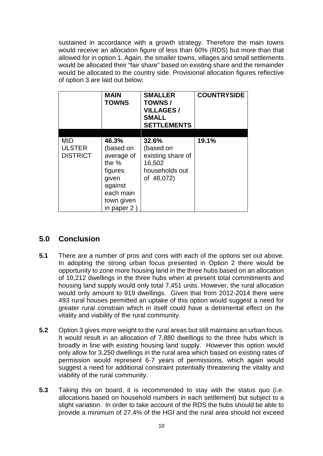sustained in accordance with a growth strategy. Therefore the main towns would receive an allocation figure of less than 60% (RDS) but more than that allowed for in option 1. Again, the smaller towns, villages and small settlements would be allocated their "fair share" based on existing share and the remainder would be allocated to the country side. Provisional allocation figures reflective of option 3 are laid out below;

|                 | <b>MAIN</b><br><b>TOWNS</b> | <b>SMALLER</b><br>TOWNS/<br><b>VILLAGES/</b><br><b>SMALL</b><br><b>SETTLEMENTS</b> | <b>COUNTRYSIDE</b> |
|-----------------|-----------------------------|------------------------------------------------------------------------------------|--------------------|
|                 |                             |                                                                                    |                    |
| MID             | 46.3%                       | 32.6%                                                                              | 19.1%              |
| <b>ULSTER</b>   | (based on                   | (based on                                                                          |                    |
| <b>DISTRICT</b> | average of                  | existing share of                                                                  |                    |
|                 | the $%$                     | 16,502                                                                             |                    |
|                 | figures                     | households out                                                                     |                    |
|                 | given                       | of 48,072)                                                                         |                    |
|                 | against                     |                                                                                    |                    |
|                 | each main                   |                                                                                    |                    |
|                 | town given                  |                                                                                    |                    |
|                 | in paper $2$                |                                                                                    |                    |

### **5.0 Conclusion**

- **5.1** There are a number of pros and cons with each of the options set out above. In adopting the strong urban focus presented in Option 2 there would be opportunity to zone more housing land in the three hubs based on an allocation of 10,212 dwellings in the three hubs when at present total commitments and housing land supply would only total 7,451 units. However, the rural allocation would only amount to 919 dwellings. Given that from 2012-2014 there were 493 rural houses permitted an uptake of this option would suggest a need for greater rural constrain which in itself could have a detrimental effect on the vitality and viability of the rural community.
- **5.2** Option 3 gives more weight to the rural areas but still maintains an urban focus. It would result in an allocation of 7,880 dwellings to the three hubs which is broadly in line with existing housing land supply. However this option would only allow for 3,250 dwellings in the rural area which based on existing rates of permission would represent 6-7 years of permissions, which again would suggest a need for additional constraint potentially threatening the vitality and viability of the rural community.
- **5.3** Taking this on board, it is recommended to stay with the status quo (i.e. allocations based on household numbers in each settlement) but subject to a slight variation. In order to take account of the RDS the hubs should be able to provide a minimum of 27.4% of the HGI and the rural area should not exceed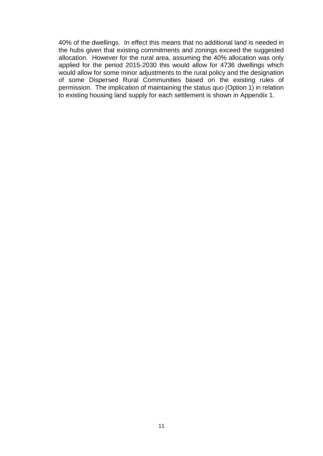40% of the dwellings. In effect this means that no additional land is needed in the hubs given that existing commitments and zonings exceed the suggested allocation. However for the rural area, assuming the 40% allocation was only applied for the period 2015-2030 this would allow for 4736 dwellings which would allow for some minor adjustments to the rural policy and the designation of some Dispersed Rural Communities based on the existing rules of permission. The implication of maintaining the status quo (Option 1) in relation to existing housing land supply for each settlement is shown in Appendix 1.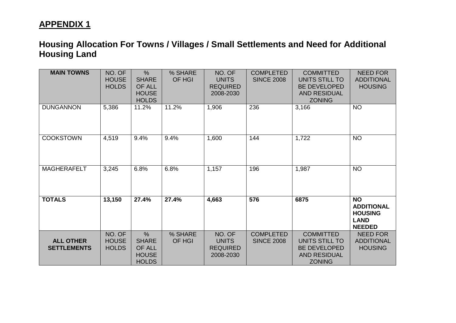| <b>MAIN TOWNS</b>                      | NO. OF<br><b>HOUSE</b><br><b>HOLDS</b> | $\frac{0}{0}$<br><b>SHARE</b><br>OF ALL<br><b>HOUSE</b><br><b>HOLDS</b> | % SHARE<br>OF HGI | NO. OF<br><b>UNITS</b><br><b>REQUIRED</b><br>2008-2030 | <b>COMPLETED</b><br><b>SINCE 2008</b> | <b>COMMITTED</b><br>UNITS STILL TO<br><b>BE DEVELOPED</b><br><b>AND RESIDUAL</b><br><b>ZONING</b> | <b>NEED FOR</b><br><b>ADDITIONAL</b><br><b>HOUSING</b>                           |
|----------------------------------------|----------------------------------------|-------------------------------------------------------------------------|-------------------|--------------------------------------------------------|---------------------------------------|---------------------------------------------------------------------------------------------------|----------------------------------------------------------------------------------|
| <b>DUNGANNON</b>                       | 5,386                                  | 11.2%                                                                   | 11.2%             | 1,906                                                  | 236                                   | 3,166                                                                                             | <b>NO</b>                                                                        |
| <b>COOKSTOWN</b>                       | 4,519                                  | 9.4%                                                                    | 9.4%              | 1,600                                                  | 144                                   | 1,722                                                                                             | <b>NO</b>                                                                        |
| <b>MAGHERAFELT</b>                     | 3,245                                  | 6.8%                                                                    | 6.8%              | 1,157                                                  | 196                                   | 1,987                                                                                             | <b>NO</b>                                                                        |
| <b>TOTALS</b>                          | 13,150                                 | 27.4%                                                                   | 27.4%             | 4,663                                                  | 576                                   | 6875                                                                                              | <b>NO</b><br><b>ADDITIONAL</b><br><b>HOUSING</b><br><b>LAND</b><br><b>NEEDED</b> |
| <b>ALL OTHER</b><br><b>SETTLEMENTS</b> | NO. OF<br><b>HOUSE</b><br><b>HOLDS</b> | $\frac{0}{0}$<br><b>SHARE</b><br>OF ALL<br><b>HOUSE</b><br><b>HOLDS</b> | % SHARE<br>OF HGI | NO. OF<br><b>UNITS</b><br><b>REQUIRED</b><br>2008-2030 | <b>COMPLETED</b><br><b>SINCE 2008</b> | <b>COMMITTED</b><br>UNITS STILL TO<br><b>BE DEVELOPED</b><br><b>AND RESIDUAL</b><br><b>ZONING</b> | <b>NEED FOR</b><br><b>ADDITIONAL</b><br><b>HOUSING</b>                           |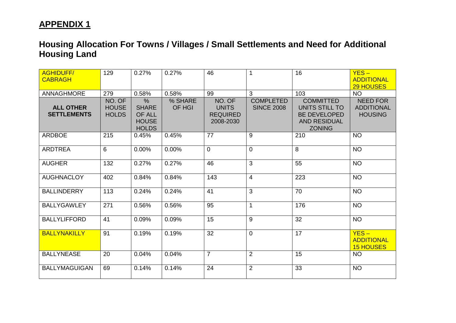| <b>AGHIDUFF/</b><br><b>CABRAGH</b>     | 129                                    | 0.27%                                                                 | 0.27%             | 46                                                     | $\mathbf 1$                           | 16                                                                                                | $YES -$<br><b>ADDITIONAL</b><br><b>29 HOUSES</b>       |
|----------------------------------------|----------------------------------------|-----------------------------------------------------------------------|-------------------|--------------------------------------------------------|---------------------------------------|---------------------------------------------------------------------------------------------------|--------------------------------------------------------|
| <b>ANNAGHMORE</b>                      | 279                                    | 0.58%                                                                 | 0.58%             | 99                                                     | 3                                     | 103                                                                                               | <b>NO</b>                                              |
| <b>ALL OTHER</b><br><b>SETTLEMENTS</b> | NO. OF<br><b>HOUSE</b><br><b>HOLDS</b> | $\%$<br><b>SHARE</b><br><b>OF ALL</b><br><b>HOUSE</b><br><b>HOLDS</b> | % SHARE<br>OF HGI | NO. OF<br><b>UNITS</b><br><b>REQUIRED</b><br>2008-2030 | <b>COMPLETED</b><br><b>SINCE 2008</b> | <b>COMMITTED</b><br>UNITS STILL TO<br><b>BE DEVELOPED</b><br><b>AND RESIDUAL</b><br><b>ZONING</b> | <b>NEED FOR</b><br><b>ADDITIONAL</b><br><b>HOUSING</b> |
| <b>ARDBOE</b>                          | 215                                    | 0.45%                                                                 | 0.45%             | 77                                                     | 9                                     | 210                                                                                               | <b>NO</b>                                              |
| <b>ARDTREA</b>                         | 6                                      | 0.00%                                                                 | 0.00%             | $\mathbf 0$                                            | 0                                     | 8                                                                                                 | <b>NO</b>                                              |
| <b>AUGHER</b>                          | 132                                    | 0.27%                                                                 | 0.27%             | 46                                                     | 3                                     | 55                                                                                                | <b>NO</b>                                              |
| <b>AUGHNACLOY</b>                      | 402                                    | 0.84%                                                                 | 0.84%             | 143                                                    | 4                                     | 223                                                                                               | <b>NO</b>                                              |
| <b>BALLINDERRY</b>                     | 113                                    | 0.24%                                                                 | 0.24%             | 41                                                     | 3                                     | 70                                                                                                | <b>NO</b>                                              |
| <b>BALLYGAWLEY</b>                     | 271                                    | 0.56%                                                                 | 0.56%             | 95                                                     | $\mathbf{1}$                          | 176                                                                                               | <b>NO</b>                                              |
| <b>BALLYLIFFORD</b>                    | 41                                     | 0.09%                                                                 | 0.09%             | 15                                                     | 9                                     | 32                                                                                                | <b>NO</b>                                              |
| <b>BALLYNAKILLY</b>                    | 91                                     | 0.19%                                                                 | 0.19%             | 32                                                     | 0                                     | 17                                                                                                | $YES -$<br><b>ADDITIONAL</b><br><b>15 HOUSES</b>       |
| <b>BALLYNEASE</b>                      | 20                                     | 0.04%                                                                 | 0.04%             | $\overline{7}$                                         | $\overline{2}$                        | 15                                                                                                | <b>NO</b>                                              |
| <b>BALLYMAGUIGAN</b>                   | 69                                     | 0.14%                                                                 | 0.14%             | 24                                                     | $\overline{2}$                        | 33                                                                                                | <b>NO</b>                                              |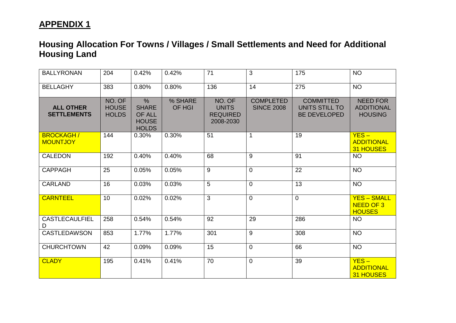| <b>BALLYRONAN</b>                      | 204                                    | 0.42%                                                                 | 0.42%                    | 71                                                     | 3                                     | 175                                                       | <b>NO</b>                                              |
|----------------------------------------|----------------------------------------|-----------------------------------------------------------------------|--------------------------|--------------------------------------------------------|---------------------------------------|-----------------------------------------------------------|--------------------------------------------------------|
| <b>BELLAGHY</b>                        | 383                                    | 0.80%                                                                 | 0.80%                    | 136                                                    | 14                                    | 275                                                       | <b>NO</b>                                              |
| <b>ALL OTHER</b><br><b>SETTLEMENTS</b> | NO. OF<br><b>HOUSE</b><br><b>HOLDS</b> | $\%$<br><b>SHARE</b><br><b>OF ALL</b><br><b>HOUSE</b><br><b>HOLDS</b> | % SHARE<br><b>OF HGI</b> | NO. OF<br><b>UNITS</b><br><b>REQUIRED</b><br>2008-2030 | <b>COMPLETED</b><br><b>SINCE 2008</b> | <b>COMMITTED</b><br>UNITS STILL TO<br><b>BE DEVELOPED</b> | <b>NEED FOR</b><br><b>ADDITIONAL</b><br><b>HOUSING</b> |
| <b>BROCKAGH/</b><br><b>MOUNTJOY</b>    | 144                                    | 0.30%                                                                 | 0.30%                    | 51                                                     | $\mathbf{1}$                          | 19                                                        | $YES -$<br><b>ADDITIONAL</b><br><b>31 HOUSES</b>       |
| <b>CALEDON</b>                         | 192                                    | 0.40%                                                                 | 0.40%                    | 68                                                     | $\overline{9}$                        | $\overline{91}$                                           | <b>NO</b>                                              |
| <b>CAPPAGH</b>                         | 25                                     | 0.05%                                                                 | 0.05%                    | 9                                                      | $\overline{0}$                        | 22                                                        | <b>NO</b>                                              |
| <b>CARLAND</b>                         | 16                                     | 0.03%                                                                 | 0.03%                    | 5                                                      | $\overline{0}$                        | 13                                                        | <b>NO</b>                                              |
| <b>CARNTEEL</b>                        | 10                                     | 0.02%                                                                 | 0.02%                    | 3                                                      | 0                                     | $\mathbf{0}$                                              | <b>YES - SMALL</b><br>NEED OF 3<br><b>HOUSES</b>       |
| <b>CASTLECAULFIEL</b><br>D             | 258                                    | 0.54%                                                                 | 0.54%                    | 92                                                     | 29                                    | 286                                                       | <b>NO</b>                                              |
| <b>CASTLEDAWSON</b>                    | 853                                    | 1.77%                                                                 | 1.77%                    | 301                                                    | 9                                     | 308                                                       | <b>NO</b>                                              |
| <b>CHURCHTOWN</b>                      | 42                                     | 0.09%                                                                 | 0.09%                    | 15                                                     | 0                                     | 66                                                        | <b>NO</b>                                              |
| <b>CLADY</b>                           | 195                                    | 0.41%                                                                 | 0.41%                    | 70                                                     | 0                                     | 39                                                        | $YES -$<br><b>ADDITIONAL</b><br><b>31 HOUSES</b>       |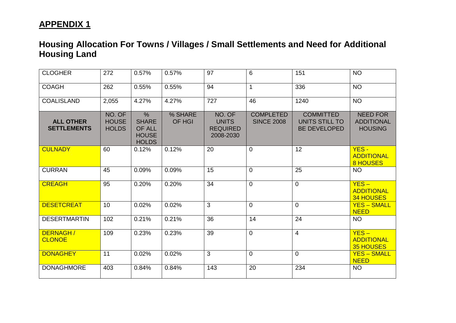| <b>CLOGHER</b>                         | 272                                    | 0.57%                                                          | 0.57%             | 97                                                     | 6                                     | 151                                                       | <b>NO</b>                                              |
|----------------------------------------|----------------------------------------|----------------------------------------------------------------|-------------------|--------------------------------------------------------|---------------------------------------|-----------------------------------------------------------|--------------------------------------------------------|
| <b>COAGH</b>                           | 262                                    | 0.55%                                                          | 0.55%             | 94                                                     | $\mathbf{1}$                          | 336                                                       | <b>NO</b>                                              |
| <b>COALISLAND</b>                      | 2,055                                  | 4.27%                                                          | 4.27%             | 727                                                    | 46                                    | 1240                                                      | <b>NO</b>                                              |
| <b>ALL OTHER</b><br><b>SETTLEMENTS</b> | NO. OF<br><b>HOUSE</b><br><b>HOLDS</b> | $\%$<br><b>SHARE</b><br>OF ALL<br><b>HOUSE</b><br><b>HOLDS</b> | % SHARE<br>OF HGI | NO. OF<br><b>UNITS</b><br><b>REQUIRED</b><br>2008-2030 | <b>COMPLETED</b><br><b>SINCE 2008</b> | <b>COMMITTED</b><br>UNITS STILL TO<br><b>BE DEVELOPED</b> | <b>NEED FOR</b><br><b>ADDITIONAL</b><br><b>HOUSING</b> |
| <b>CULNADY</b>                         | 60                                     | 0.12%                                                          | 0.12%             | 20                                                     | $\mathbf 0$                           | 12                                                        | $YES -$<br><b>ADDITIONAL</b><br><b>8 HOUSES</b>        |
| <b>CURRAN</b>                          | 45                                     | 0.09%                                                          | 0.09%             | 15                                                     | $\mathbf 0$                           | 25                                                        | <b>NO</b>                                              |
| <b>CREAGH</b>                          | 95                                     | 0.20%                                                          | 0.20%             | 34                                                     | $\mathbf 0$                           | $\mathbf 0$                                               | $YES -$<br><b>ADDITIONAL</b><br><b>34 HOUSES</b>       |
| <b>DESETCREAT</b>                      | 10                                     | 0.02%                                                          | 0.02%             | 3                                                      | $\mathbf 0$                           | $\mathbf 0$                                               | <b>YES - SMALL</b><br><b>NEED</b>                      |
| <b>DESERTMARTIN</b>                    | 102                                    | 0.21%                                                          | 0.21%             | 36                                                     | 14                                    | 24                                                        | <b>NO</b>                                              |
| DERNAGH/<br><b>CLONOE</b>              | 109                                    | 0.23%                                                          | 0.23%             | 39                                                     | $\mathbf 0$                           | $\overline{4}$                                            | $YES -$<br><b>ADDITIONAL</b><br><b>35 HOUSES</b>       |
| <b>DONAGHEY</b>                        | 11                                     | 0.02%                                                          | 0.02%             | $\overline{3}$                                         | $\mathbf 0$                           | $\mathbf 0$                                               | <b>YES - SMALL</b><br><b>NEED</b>                      |
| <b>DONAGHMORE</b>                      | 403                                    | 0.84%                                                          | 0.84%             | 143                                                    | 20                                    | 234                                                       | <b>NO</b>                                              |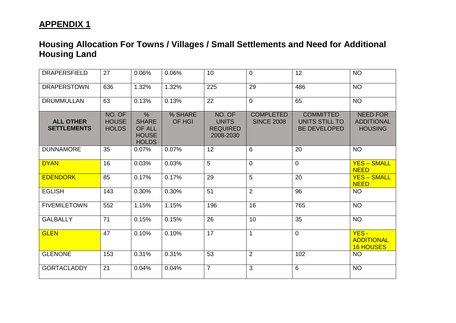| <b>DRAPERSFIELD</b>                    | 27                                     | 0.06%                                                                   | 0.06%             | 10                                                     | $\overline{0}$                        | 12                                                        | <b>NO</b>                                              |
|----------------------------------------|----------------------------------------|-------------------------------------------------------------------------|-------------------|--------------------------------------------------------|---------------------------------------|-----------------------------------------------------------|--------------------------------------------------------|
| <b>DRAPERSTOWN</b>                     | 636                                    | 1.32%                                                                   | 1.32%             | 225                                                    | 29                                    | 486                                                       | <b>NO</b>                                              |
| <b>DRUMMULLAN</b>                      | 63                                     | 0.13%                                                                   | 0.13%             | 22                                                     | $\overline{0}$                        | 65                                                        | <b>NO</b>                                              |
| <b>ALL OTHER</b><br><b>SETTLEMENTS</b> | NO. OF<br><b>HOUSE</b><br><b>HOLDS</b> | $\frac{0}{0}$<br><b>SHARE</b><br>OF ALL<br><b>HOUSE</b><br><b>HOLDS</b> | % SHARE<br>OF HGI | NO. OF<br><b>UNITS</b><br><b>REQUIRED</b><br>2008-2030 | <b>COMPLETED</b><br><b>SINCE 2008</b> | <b>COMMITTED</b><br>UNITS STILL TO<br><b>BE DEVELOPED</b> | <b>NEED FOR</b><br><b>ADDITIONAL</b><br><b>HOUSING</b> |
| <b>DUNNAMORE</b>                       | 35                                     | 0.07%                                                                   | 0.07%             | 12                                                     | 6                                     | 20                                                        | <b>NO</b>                                              |
| <b>DYAN</b>                            | 16                                     | 0.03%                                                                   | 0.03%             | 5                                                      | $\overline{0}$                        | $\overline{0}$                                            | <b>YES - SMALL</b><br><b>NEED</b>                      |
| <b>EDENDORK</b>                        | 85                                     | 0.17%                                                                   | 0.17%             | 29                                                     | $\overline{5}$                        | 20                                                        | <b>YES - SMALL</b><br><b>NEED</b>                      |
| <b>EGLISH</b>                          | 143                                    | 0.30%                                                                   | 0.30%             | 51                                                     | $\overline{2}$                        | 96                                                        | <b>NO</b>                                              |
| <b>FIVEMILETOWN</b>                    | 552                                    | 1.15%                                                                   | 1.15%             | 196                                                    | 16                                    | 765                                                       | <b>NO</b>                                              |
| <b>GALBALLY</b>                        | 71                                     | 0.15%                                                                   | 0.15%             | 26                                                     | 10                                    | 35                                                        | <b>NO</b>                                              |
| <b>GLEN</b>                            | 47                                     | 0.10%                                                                   | 0.10%             | 17                                                     | $\mathbf{1}$                          | $\overline{0}$                                            | $YES -$<br><b>ADDITIONAL</b><br><b>16 HOUSES</b>       |
| <b>GLENONE</b>                         | 153                                    | 0.31%                                                                   | 0.31%             | 53                                                     | $\overline{2}$                        | 102                                                       | <b>NO</b>                                              |
| <b>GORTACLADDY</b>                     | 21                                     | 0.04%                                                                   | 0.04%             | $\overline{7}$                                         | $\overline{3}$                        | 6                                                         | <b>NO</b>                                              |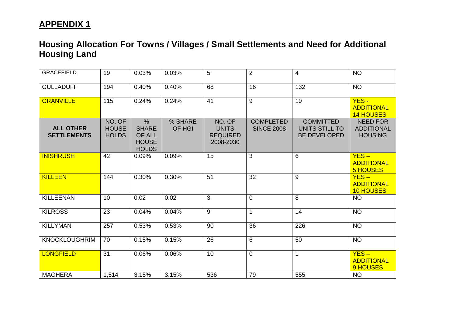| <b>GRACEFIELD</b>                      | 19                                     | 0.03%                                                                   | 0.03%             | 5                                                      | 2                                     | 4                                                         | <b>NO</b>                                              |
|----------------------------------------|----------------------------------------|-------------------------------------------------------------------------|-------------------|--------------------------------------------------------|---------------------------------------|-----------------------------------------------------------|--------------------------------------------------------|
| <b>GULLADUFF</b>                       | 194                                    | 0.40%                                                                   | 0.40%             | 68                                                     | 16                                    | 132                                                       | <b>NO</b>                                              |
| <b>GRANVILLE</b>                       | 115                                    | 0.24%                                                                   | 0.24%             | 41                                                     | $\overline{9}$                        | 19                                                        | $YES -$<br><b>ADDITIONAL</b><br><b>14 HOUSES</b>       |
| <b>ALL OTHER</b><br><b>SETTLEMENTS</b> | NO. OF<br><b>HOUSE</b><br><b>HOLDS</b> | $\frac{0}{0}$<br><b>SHARE</b><br>OF ALL<br><b>HOUSE</b><br><b>HOLDS</b> | % SHARE<br>OF HGI | NO. OF<br><b>UNITS</b><br><b>REQUIRED</b><br>2008-2030 | <b>COMPLETED</b><br><b>SINCE 2008</b> | <b>COMMITTED</b><br>UNITS STILL TO<br><b>BE DEVELOPED</b> | <b>NEED FOR</b><br><b>ADDITIONAL</b><br><b>HOUSING</b> |
| <b>INISHRUSH</b>                       | 42                                     | 0.09%                                                                   | 0.09%             | 15                                                     | $\overline{\omega}$                   | $6\phantom{1}$                                            | $YES -$<br><b>ADDITIONAL</b><br><b>5 HOUSES</b>        |
| <b>KILLEEN</b>                         | 144                                    | 0.30%                                                                   | 0.30%             | 51                                                     | 32                                    | 9                                                         | $YES -$<br><b>ADDITIONAL</b><br><b>10 HOUSES</b>       |
| <b>KILLEENAN</b>                       | 10                                     | 0.02                                                                    | 0.02              | 3                                                      | $\mathbf 0$                           | 8                                                         | <b>NO</b>                                              |
| <b>KILROSS</b>                         | 23                                     | 0.04%                                                                   | 0.04%             | $\overline{9}$                                         | $\mathbf{1}$                          | 14                                                        | <b>NO</b>                                              |
| <b>KILLYMAN</b>                        | 257                                    | 0.53%                                                                   | 0.53%             | 90                                                     | 36                                    | 226                                                       | <b>NO</b>                                              |
| <b>KNOCKLOUGHRIM</b>                   | 70                                     | 0.15%                                                                   | 0.15%             | 26                                                     | $\overline{6}$                        | 50                                                        | <b>NO</b>                                              |
| <b>LONGFIELD</b>                       | 31                                     | 0.06%                                                                   | 0.06%             | 10                                                     | $\mathbf 0$                           | $\mathbf{1}$                                              | $YES -$<br><b>ADDITIONAL</b><br>9 HOUSES               |
| <b>MAGHERA</b>                         | 1,514                                  | 3.15%                                                                   | 3.15%             | 536                                                    | 79                                    | 555                                                       | <b>NO</b>                                              |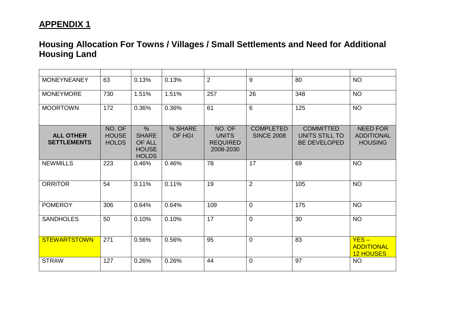| <b>MONEYNEANEY</b>                     | 63                                     | 0.13%                                                                          | 0.13%             | $\overline{2}$                                         | 9                                     | 80                                                        | <b>NO</b>                                              |
|----------------------------------------|----------------------------------------|--------------------------------------------------------------------------------|-------------------|--------------------------------------------------------|---------------------------------------|-----------------------------------------------------------|--------------------------------------------------------|
| <b>MONEYMORE</b>                       | 730                                    | 1.51%                                                                          | 1.51%             | 257                                                    | 26                                    | 348                                                       | <b>NO</b>                                              |
| <b>MOORTOWN</b>                        | 172                                    | 0.36%                                                                          | 0.36%             | 61                                                     | 6                                     | 125                                                       | <b>NO</b>                                              |
| <b>ALL OTHER</b><br><b>SETTLEMENTS</b> | NO. OF<br><b>HOUSE</b><br><b>HOLDS</b> | $\frac{0}{0}$<br><b>SHARE</b><br><b>OF ALL</b><br><b>HOUSE</b><br><b>HOLDS</b> | % SHARE<br>OF HGI | NO. OF<br><b>UNITS</b><br><b>REQUIRED</b><br>2008-2030 | <b>COMPLETED</b><br><b>SINCE 2008</b> | <b>COMMITTED</b><br>UNITS STILL TO<br><b>BE DEVELOPED</b> | <b>NEED FOR</b><br><b>ADDITIONAL</b><br><b>HOUSING</b> |
| <b>NEWMILLS</b>                        | 223                                    | 0.46%                                                                          | 0.46%             | 78                                                     | 17                                    | 69                                                        | <b>NO</b>                                              |
| <b>ORRITOR</b>                         | 54                                     | 0.11%                                                                          | 0.11%             | 19                                                     | 2                                     | 105                                                       | <b>NO</b>                                              |
| <b>POMEROY</b>                         | 306                                    | 0.64%                                                                          | 0.64%             | 109                                                    | $\Omega$                              | 175                                                       | <b>NO</b>                                              |
| <b>SANDHOLES</b>                       | 50                                     | 0.10%                                                                          | 0.10%             | 17                                                     | $\mathbf 0$                           | 30                                                        | <b>NO</b>                                              |
| <b>STEWARTSTOWN</b>                    | 271                                    | 0.56%                                                                          | 0.56%             | 95                                                     | $\overline{0}$                        | 83                                                        | $YES -$<br><b>ADDITIONAL</b><br><b>12 HOUSES</b>       |
| <b>STRAW</b>                           | 127                                    | 0.26%                                                                          | 0.26%             | 44                                                     | $\mathbf 0$                           | 97                                                        | <b>NO</b>                                              |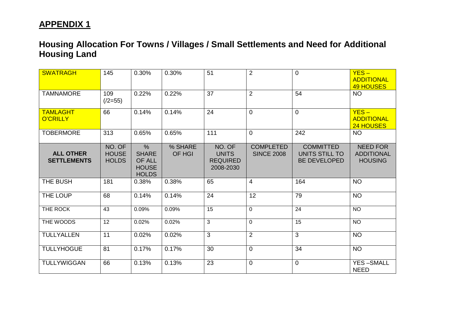| <b>SWATRAGH</b>                        | 145                                    | 0.30%                                                                 | 0.30%             | 51                                                     | $\overline{2}$                        | $\overline{0}$                                            | $YES -$<br><b>ADDITIONAL</b><br><b>49 HOUSES</b>       |
|----------------------------------------|----------------------------------------|-----------------------------------------------------------------------|-------------------|--------------------------------------------------------|---------------------------------------|-----------------------------------------------------------|--------------------------------------------------------|
| <b>TAMNAMORE</b>                       | 109<br>$(2=55)$                        | 0.22%                                                                 | 0.22%             | 37                                                     | $\overline{2}$                        | 54                                                        | <b>NO</b>                                              |
| <b>TAMLAGHT</b><br><b>O'CRILLY</b>     | 66                                     | 0.14%                                                                 | 0.14%             | 24                                                     | $\overline{0}$                        | $\overline{0}$                                            | $YES -$<br><b>ADDITIONAL</b><br>24 HOUSES              |
| <b>TOBERMORE</b>                       | 313                                    | 0.65%                                                                 | 0.65%             | 111                                                    | $\overline{0}$                        | 242                                                       | <b>NO</b>                                              |
| <b>ALL OTHER</b><br><b>SETTLEMENTS</b> | NO. OF<br><b>HOUSE</b><br><b>HOLDS</b> | $\%$<br><b>SHARE</b><br><b>OF ALL</b><br><b>HOUSE</b><br><b>HOLDS</b> | % SHARE<br>OF HGI | NO. OF<br><b>UNITS</b><br><b>REQUIRED</b><br>2008-2030 | <b>COMPLETED</b><br><b>SINCE 2008</b> | <b>COMMITTED</b><br>UNITS STILL TO<br><b>BE DEVELOPED</b> | <b>NEED FOR</b><br><b>ADDITIONAL</b><br><b>HOUSING</b> |
| THE BUSH                               | 181                                    | 0.38%                                                                 | 0.38%             | 65                                                     | $\overline{4}$                        | 164                                                       | <b>NO</b>                                              |
| THE LOUP                               | 68                                     | 0.14%                                                                 | 0.14%             | 24                                                     | 12                                    | 79                                                        | <b>NO</b>                                              |
| THE ROCK                               | 43                                     | 0.09%                                                                 | 0.09%             | $\overline{15}$                                        | $\mathbf{0}$                          | 24                                                        | <b>NO</b>                                              |
| THE WOODS                              | $\overline{12}$                        | 0.02%                                                                 | 0.02%             | 3                                                      | $\overline{0}$                        | $\overline{15}$                                           | <b>NO</b>                                              |
| <b>TULLYALLEN</b>                      | 11                                     | 0.02%                                                                 | 0.02%             | 3                                                      | 2                                     | 3                                                         | <b>NO</b>                                              |
| <b>TULLYHOGUE</b>                      | 81                                     | 0.17%                                                                 | 0.17%             | 30                                                     | $\overline{0}$                        | 34                                                        | <b>NO</b>                                              |
| <b>TULLYWIGGAN</b>                     | 66                                     | 0.13%                                                                 | 0.13%             | $\overline{23}$                                        | $\mathbf 0$                           | $\mathbf 0$                                               | <b>YES-SMALL</b><br><b>NEED</b>                        |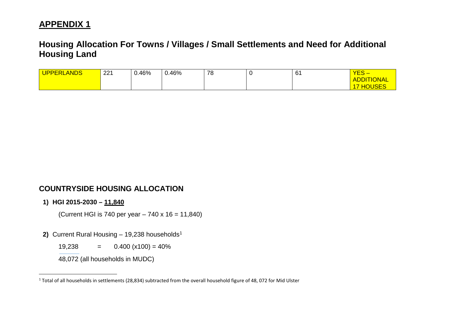## <span id="page-19-0"></span>**Housing Allocation For Towns / Villages / Small Settlements and Need for Additional Housing Land**

| <b>ANDS</b><br><b>UPPE</b><br>·RI | 221 | 0.46% | 0.46% | 78 | U | 61<br>$-$ | NEC<br>$\overline{\phantom{a}}$<br>ÆO. |
|-----------------------------------|-----|-------|-------|----|---|-----------|----------------------------------------|
|                                   |     |       |       |    |   |           | <b>ADDITIONAL</b>                      |
|                                   |     |       |       |    |   |           | 10F <sub>0</sub><br>$\sim$<br>11 I S L |

### **COUNTRYSIDE HOUSING ALLOCATION**

#### **1) HGI 2015-2030 – 11,840**

l

(Current HGI is 740 per year – 740 x 16 = 11,840)

2) Current Rural Housing - [1](#page-19-0)9,238 households<sup>1</sup>

19,238  $= 0.400 (x100) = 40\%$ 

48,072 (all households in MUDC)

 $1$  Total of all households in settlements (28,834) subtracted from the overall household figure of 48, 072 for Mid Ulster